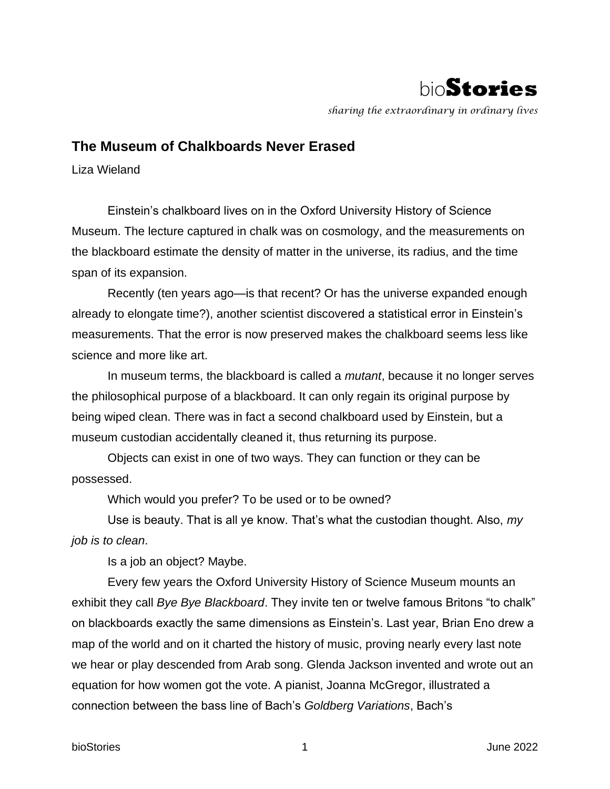

*sharing the extraordinary in ordinary lives*

## **The Museum of Chalkboards Never Erased**

Liza Wieland

Einstein's chalkboard lives on in the Oxford University History of Science Museum. The lecture captured in chalk was on cosmology, and the measurements on the blackboard estimate the density of matter in the universe, its radius, and the time span of its expansion.

Recently (ten years ago—is that recent? Or has the universe expanded enough already to elongate time?), another scientist discovered a statistical error in Einstein's measurements. That the error is now preserved makes the chalkboard seems less like science and more like art.

In museum terms, the blackboard is called a *mutant*, because it no longer serves the philosophical purpose of a blackboard. It can only regain its original purpose by being wiped clean. There was in fact a second chalkboard used by Einstein, but a museum custodian accidentally cleaned it, thus returning its purpose.

Objects can exist in one of two ways. They can function or they can be possessed.

Which would you prefer? To be used or to be owned?

Use is beauty. That is all ye know. That's what the custodian thought. Also, *my job is to clean*.

Is a job an object? Maybe.

Every few years the Oxford University History of Science Museum mounts an exhibit they call *Bye Bye Blackboard*. They invite ten or twelve famous Britons "to chalk" on blackboards exactly the same dimensions as Einstein's. Last year, Brian Eno drew a map of the world and on it charted the history of music, proving nearly every last note we hear or play descended from Arab song. Glenda Jackson invented and wrote out an equation for how women got the vote. A pianist, Joanna McGregor, illustrated a connection between the bass line of Bach's *Goldberg Variations*, Bach's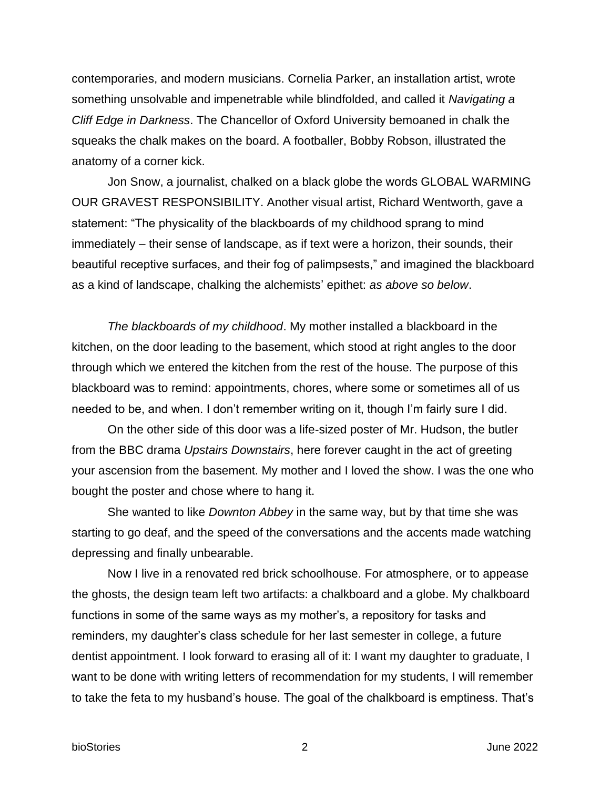contemporaries, and modern musicians. Cornelia Parker, an installation artist, wrote something unsolvable and impenetrable while blindfolded, and called it *Navigating a Cliff Edge in Darkness*. The Chancellor of Oxford University bemoaned in chalk the squeaks the chalk makes on the board. A footballer, Bobby Robson, illustrated the anatomy of a corner kick.

Jon Snow, a journalist, chalked on a black globe the words GLOBAL WARMING OUR GRAVEST RESPONSIBILITY. Another visual artist, Richard Wentworth, gave a statement: "The physicality of the blackboards of my childhood sprang to mind immediately – their sense of landscape, as if text were a horizon, their sounds, their beautiful receptive surfaces, and their fog of palimpsests," and imagined the blackboard as a kind of landscape, chalking the alchemists' epithet: *as above so below*.

*The blackboards of my childhood*. My mother installed a blackboard in the kitchen, on the door leading to the basement, which stood at right angles to the door through which we entered the kitchen from the rest of the house. The purpose of this blackboard was to remind: appointments, chores, where some or sometimes all of us needed to be, and when. I don't remember writing on it, though I'm fairly sure I did.

On the other side of this door was a life-sized poster of Mr. Hudson, the butler from the BBC drama *Upstairs Downstairs*, here forever caught in the act of greeting your ascension from the basement. My mother and I loved the show. I was the one who bought the poster and chose where to hang it.

She wanted to like *Downton Abbey* in the same way, but by that time she was starting to go deaf, and the speed of the conversations and the accents made watching depressing and finally unbearable.

Now I live in a renovated red brick schoolhouse. For atmosphere, or to appease the ghosts, the design team left two artifacts: a chalkboard and a globe. My chalkboard functions in some of the same ways as my mother's, a repository for tasks and reminders, my daughter's class schedule for her last semester in college, a future dentist appointment. I look forward to erasing all of it: I want my daughter to graduate, I want to be done with writing letters of recommendation for my students, I will remember to take the feta to my husband's house. The goal of the chalkboard is emptiness. That's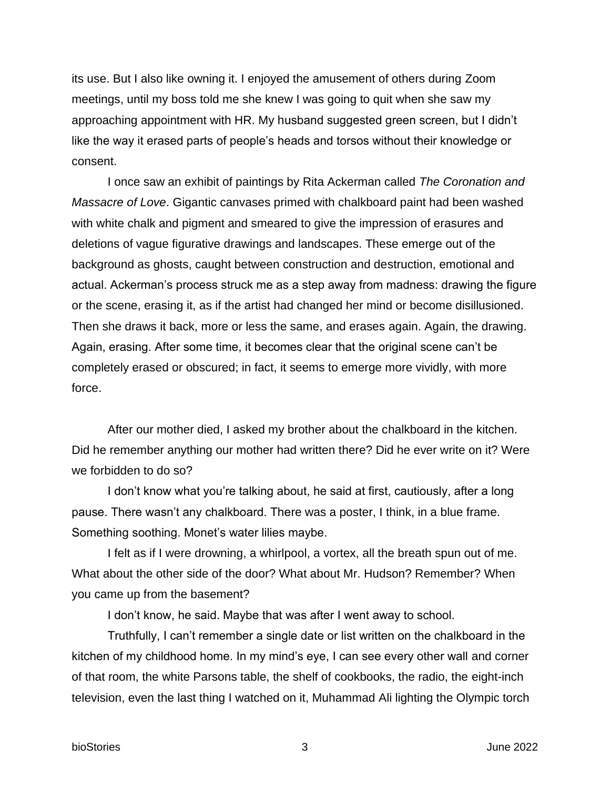its use. But I also like owning it. I enjoyed the amusement of others during Zoom meetings, until my boss told me she knew I was going to quit when she saw my approaching appointment with HR. My husband suggested green screen, but I didn't like the way it erased parts of people's heads and torsos without their knowledge or consent.

I once saw an exhibit of paintings by Rita Ackerman called *The Coronation and Massacre of Love*. Gigantic canvases primed with chalkboard paint had been washed with white chalk and pigment and smeared to give the impression of erasures and deletions of vague figurative drawings and landscapes. These emerge out of the background as ghosts, caught between construction and destruction, emotional and actual. Ackerman's process struck me as a step away from madness: drawing the figure or the scene, erasing it, as if the artist had changed her mind or become disillusioned. Then she draws it back, more or less the same, and erases again. Again, the drawing. Again, erasing. After some time, it becomes clear that the original scene can't be completely erased or obscured; in fact, it seems to emerge more vividly, with more force.

After our mother died, I asked my brother about the chalkboard in the kitchen. Did he remember anything our mother had written there? Did he ever write on it? Were we forbidden to do so?

I don't know what you're talking about, he said at first, cautiously, after a long pause. There wasn't any chalkboard. There was a poster, I think, in a blue frame. Something soothing. Monet's water lilies maybe.

I felt as if I were drowning, a whirlpool, a vortex, all the breath spun out of me. What about the other side of the door? What about Mr. Hudson? Remember? When you came up from the basement?

I don't know, he said. Maybe that was after I went away to school.

Truthfully, I can't remember a single date or list written on the chalkboard in the kitchen of my childhood home. In my mind's eye, I can see every other wall and corner of that room, the white Parsons table, the shelf of cookbooks, the radio, the eight-inch television, even the last thing I watched on it, Muhammad Ali lighting the Olympic torch